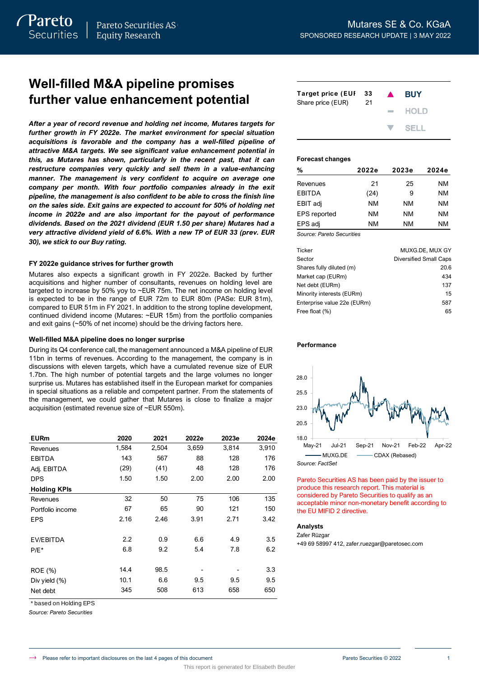Pareto

# **Well-filled M&A pipeline promises further value enhancement potential**

## **FY 2022e guidance strives for further growth**

## **Well-filled M&A pipeline does no longer surprise**

| further value enhancement potential                                                                                                                                                                                                                                                                                                                                                                                                                                                                                                                                                                                                  | <b>Target price (EUI</b><br>Share price (EUR) | 33<br>21 |       |       |       |                                                      |       |
|--------------------------------------------------------------------------------------------------------------------------------------------------------------------------------------------------------------------------------------------------------------------------------------------------------------------------------------------------------------------------------------------------------------------------------------------------------------------------------------------------------------------------------------------------------------------------------------------------------------------------------------|-----------------------------------------------|----------|-------|-------|-------|------------------------------------------------------|-------|
| After a year of record revenue and holding net income, Mutares targets for<br>further growth in FY 2022e. The market environment for special situation<br>acquisitions is favorable and the company has a well-filled pipeline of<br>attractive M&A targets. We see significant value enhancement potential in                                                                                                                                                                                                                                                                                                                       |                                               |          |       |       |       | <b>Forecast changes</b>                              |       |
| this, as Mutares has shown, particularly in the recent past, that it can<br>restructure companies very quickly and sell them in a value-enhancing                                                                                                                                                                                                                                                                                                                                                                                                                                                                                    |                                               |          |       |       |       |                                                      |       |
| manner. The management is very confident to acquire on average one                                                                                                                                                                                                                                                                                                                                                                                                                                                                                                                                                                   |                                               |          |       |       |       | %                                                    | 2022  |
| company per month. With four portfolio companies already in the exit                                                                                                                                                                                                                                                                                                                                                                                                                                                                                                                                                                 |                                               |          |       |       |       | Revenues                                             |       |
| pipeline, the management is also confident to be able to cross the finish line                                                                                                                                                                                                                                                                                                                                                                                                                                                                                                                                                       |                                               |          |       |       |       | <b>EBITDA</b>                                        | (2)   |
| on the sales side. Exit gains are expected to account for 50% of holding net                                                                                                                                                                                                                                                                                                                                                                                                                                                                                                                                                         |                                               |          |       |       |       | EBIT adj                                             | N     |
| income in 2022e and are also important for the payout of performance                                                                                                                                                                                                                                                                                                                                                                                                                                                                                                                                                                 |                                               |          |       |       |       | EPS reported                                         | Ν     |
| dividends. Based on the 2021 dividend (EUR 1.50 per share) Mutares had a<br>very attractive dividend yield of 6.6%. With a new TP of EUR 33 (prev. EUR                                                                                                                                                                                                                                                                                                                                                                                                                                                                               |                                               |          |       |       |       | EPS adj<br>Source: Pareto Securities                 | Ν     |
| 30), we stick to our Buy rating.                                                                                                                                                                                                                                                                                                                                                                                                                                                                                                                                                                                                     |                                               |          |       |       |       |                                                      |       |
|                                                                                                                                                                                                                                                                                                                                                                                                                                                                                                                                                                                                                                      |                                               |          |       |       |       | <b>Ticker</b>                                        |       |
| FY 2022e guidance strives for further growth                                                                                                                                                                                                                                                                                                                                                                                                                                                                                                                                                                                         |                                               |          |       |       |       | Sector                                               |       |
| Mutares also expects a significant growth in FY 2022e. Backed by further                                                                                                                                                                                                                                                                                                                                                                                                                                                                                                                                                             |                                               |          |       |       |       | Shares fully diluted (m)<br>Market cap (EURm)        |       |
| acquisitions and higher number of consultants, revenues on holding level are                                                                                                                                                                                                                                                                                                                                                                                                                                                                                                                                                         |                                               |          |       |       |       | Net debt (EURm)                                      |       |
| targeted to increase by 50% yoy to $\sim$ EUR 75m. The net income on holding level                                                                                                                                                                                                                                                                                                                                                                                                                                                                                                                                                   |                                               |          |       |       |       | Minority interests (EURm)                            |       |
| is expected to be in the range of EUR 72m to EUR 80m (PASe: EUR 81m),<br>compared to EUR 51m in FY 2021. In addition to the strong topline development,                                                                                                                                                                                                                                                                                                                                                                                                                                                                              |                                               |          |       |       |       | Enterprise value 22e (EURm)                          |       |
| continued dividend income (Mutares: ~EUR 15m) from the portfolio companies                                                                                                                                                                                                                                                                                                                                                                                                                                                                                                                                                           |                                               |          |       |       |       | Free float (%)                                       |       |
| and exit gains $($ ~50% of net income) should be the driving factors here.                                                                                                                                                                                                                                                                                                                                                                                                                                                                                                                                                           |                                               |          |       |       |       |                                                      |       |
| Well-filled M&A pipeline does no longer surprise                                                                                                                                                                                                                                                                                                                                                                                                                                                                                                                                                                                     |                                               |          |       |       |       |                                                      |       |
| During its Q4 conference call, the management announced a M&A pipeline of EUR<br>11bn in terms of revenues. According to the management, the company is in<br>discussions with eleven targets, which have a cumulated revenue size of EUR<br>1.7bn. The high number of potential targets and the large volumes no longer<br>surprise us. Mutares has established itself in the European market for companies<br>in special situations as a reliable and competent partner. From the statements of<br>the management, we could gather that Mutares is close to finalize a major<br>acquisition (estimated revenue size of ~EUR 550m). |                                               |          |       |       |       | 28.0<br>25.5<br>23.0<br>20.5                         |       |
| <b>EURm</b>                                                                                                                                                                                                                                                                                                                                                                                                                                                                                                                                                                                                                          | 2020                                          | 2021     | 2022e | 2023e | 2024e | 18.0                                                 |       |
| Revenues                                                                                                                                                                                                                                                                                                                                                                                                                                                                                                                                                                                                                             | 1,584                                         | 2,504    | 3,659 | 3,814 | 3,910 | May-21<br><b>Jul-21</b>                              | Sep-2 |
| EBITDA                                                                                                                                                                                                                                                                                                                                                                                                                                                                                                                                                                                                                               | 143                                           | 567      | 88    | 128   | 176   | - MUXG.DE                                            |       |
| Adj. EBITDA                                                                                                                                                                                                                                                                                                                                                                                                                                                                                                                                                                                                                          | (29)                                          | (41)     | 48    | 128   | 176   | Source: FactSet                                      |       |
| <b>DPS</b>                                                                                                                                                                                                                                                                                                                                                                                                                                                                                                                                                                                                                           | 1.50                                          | 1.50     | 2.00  | 2.00  | 2.00  | Pareto Securities AS has b                           |       |
| <b>Holding KPIs</b>                                                                                                                                                                                                                                                                                                                                                                                                                                                                                                                                                                                                                  |                                               |          |       |       |       | produce this research repe                           |       |
| Revenues                                                                                                                                                                                                                                                                                                                                                                                                                                                                                                                                                                                                                             | 32                                            | 50       | 75    | 106   | 135   | considered by Pareto Sec<br>acceptable minor non-mor |       |
| Portfolio income                                                                                                                                                                                                                                                                                                                                                                                                                                                                                                                                                                                                                     | 67                                            | 65       | 90    | 121   | 150   | the EU MIFID 2 directive.                            |       |
| <b>EPS</b>                                                                                                                                                                                                                                                                                                                                                                                                                                                                                                                                                                                                                           | 2.16                                          | 2.46     | 3.91  | 2.71  | 3.42  |                                                      |       |
|                                                                                                                                                                                                                                                                                                                                                                                                                                                                                                                                                                                                                                      |                                               |          |       |       |       | <b>Analysts</b><br>Zafer Rüzgar                      |       |
| EV/EBITDA                                                                                                                                                                                                                                                                                                                                                                                                                                                                                                                                                                                                                            | 2.2                                           | 0.9      | 6.6   | 4.9   | 3.5   | +49 69 58997 412, zafer.ruez                         |       |
| $P/E^*$                                                                                                                                                                                                                                                                                                                                                                                                                                                                                                                                                                                                                              | 6.8                                           | 9.2      | 5.4   | 7.8   | 6.2   |                                                      |       |
|                                                                                                                                                                                                                                                                                                                                                                                                                                                                                                                                                                                                                                      |                                               |          |       |       |       |                                                      |       |
| <b>ROE</b> (%)                                                                                                                                                                                                                                                                                                                                                                                                                                                                                                                                                                                                                       | 14.4                                          | 98.5     |       |       | 3.3   |                                                      |       |
| Div yield (%)                                                                                                                                                                                                                                                                                                                                                                                                                                                                                                                                                                                                                        | 10.1                                          | 6.6      | 9.5   | 9.5   | 9.5   |                                                      |       |
| Net debt                                                                                                                                                                                                                                                                                                                                                                                                                                                                                                                                                                                                                             | 345                                           | 508      | 613   | 658   | 650   |                                                      |       |
| * based on Holding EPS<br>Source: Pareto Securities                                                                                                                                                                                                                                                                                                                                                                                                                                                                                                                                                                                  |                                               |          |       |       |       |                                                      |       |

| <b>Target price (EUI</b><br>Share price (EUR) | - 33<br>21 | $\blacktriangle$ | <b>BUY</b>                |
|-----------------------------------------------|------------|------------------|---------------------------|
|                                               |            |                  | $-$ HOLD                  |
|                                               |            |                  | $\blacktriangledown$ SFLL |

# **Forecast changes**

| %                   | 2022e | 2023e | 2024e |
|---------------------|-------|-------|-------|
| Revenues            | 21    | 25    | NM    |
| <b>FBITDA</b>       | (24)  | 9     | NM    |
| EBIT adj            | NM    | NM    | NM    |
| <b>EPS</b> reported | NM    | NM    | NM    |
| EPS adj             | NM    | NM    | NM    |

| Ticker                      | MUXG.DE, MUX GY               |
|-----------------------------|-------------------------------|
| Sector                      | <b>Diversified Small Caps</b> |
| Shares fully diluted (m)    | 20.6                          |
| Market cap (EURm)           | 434                           |
| Net debt (EURm)             | 137                           |
| Minority interests (EURm)   | 15                            |
| Enterprise value 22e (EURm) | 587                           |
| Free float (%)              | 65                            |

## **Performance**



Pareto Securities AS has been paid by the issuer to produce this research report. This material is considered by Pareto Securities to qualify as an acceptable minor non-monetary benefit according to the EU MIFID 2 directive.

## **Analysts**

+49 69 58997 412, zafer.ruezgar@paretosec.com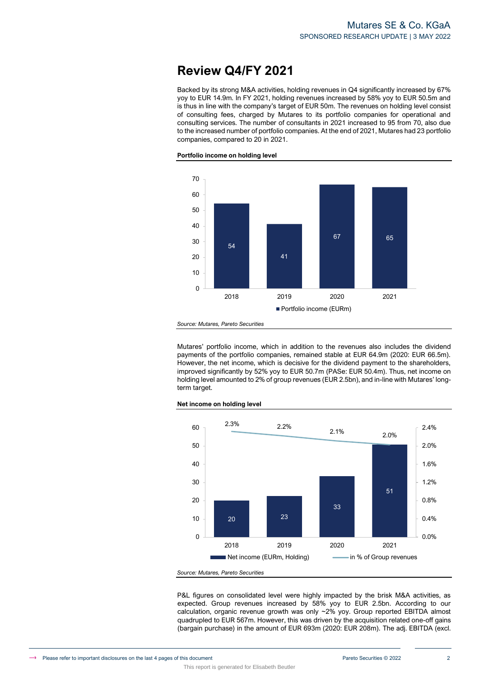# **Review Q4/FY 2021**

Backed by its strong M&A activities, holding revenues in Q4 significantly increased by 67% yoy to EUR 14.9m. In FY 2021, holding revenues increased by 58% yoy to EUR 50.5m and is thus in line with the company's target of EUR 50m. The revenues on holding level consist of consulting fees, charged by Mutares to its portfolio companies for operational and consulting services. The number of consultants in 2021 increased to 95 from 70, also due to the increased number of portfolio companies. At the end of 2021, Mutares had 23 portfolio companies, compared to 20 in 2021.

**Portfolio income on holding level**



*Source: Mutares, Pareto Securities*

Mutares' portfolio income, which in addition to the revenues also includes the dividend payments of the portfolio companies, remained stable at EUR 64.9m (2020: EUR 66.5m). However, the net income, which is decisive for the dividend payment to the shareholders, improved significantly by 52% yoy to EUR 50.7m (PASe: EUR 50.4m). Thus, net income on holding level amounted to 2% of group revenues (EUR 2.5bn), and in-line with Mutares' longterm target.



**Net income on holding level**

*Source: Mutares, Pareto Securities*

This report is generated for Elisabeth Beutler

P&L figures on consolidated level were highly impacted by the brisk M&A activities, as expected. Group revenues increased by 58% yoy to EUR 2.5bn. According to our calculation, organic revenue growth was only ~2% yoy. Group reported EBITDA almost quadrupled to EUR 567m. However, this was driven by the acquisition related one-off gains (bargain purchase) in the amount of EUR 693m (2020: EUR 208m). The adj. EBITDA (excl.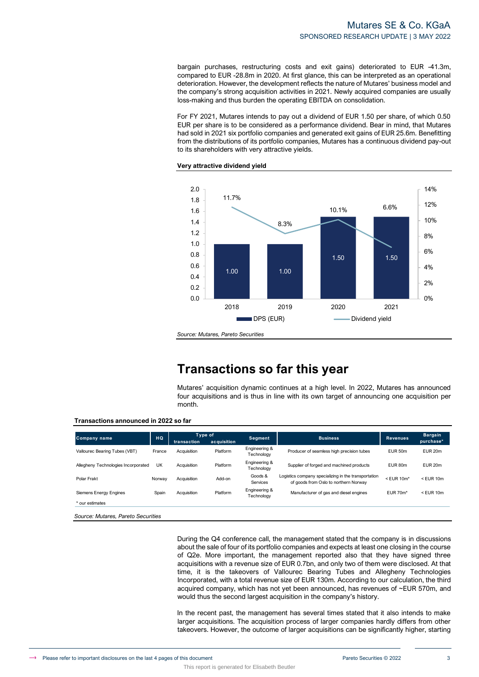# Mutares SE & Co. KGaA SPONSORED RESEARCH UPDATE | 3 MAY 2022

bargain purchases, restructuring costs and exit gains) deteriorated to EUR -41.3m, compared to EUR -28.8m in 2020. At first glance, this can be interpreted as an operational deterioration. However, the development reflects the nature of Mutares' business model and the company's strong acquisition activities in 2021. Newly acquired companies are usually loss-making and thus burden the operating EBITDA on consolidation.

For FY 2021, Mutares intends to pay out a dividend of EUR 1.50 per share, of which 0.50 EUR per share is to be considered as a performance dividend. Bear in mind, that Mutares had sold in 2021 six portfolio companies and generated exit gains of EUR 25.6m. Benefitting from the distributions of its portfolio companies, Mutares has a continuous dividend pay-out to its shareholders with very attractive yields.

## **Very attractive dividend yield**



*Source: Mutares, Pareto Securities*

# **Transactions so far this year**

Mutares' acquisition dynamic continues at a high level. In 2022, Mutares has announced four acquisitions and is thus in line with its own target of announcing one acquisition per month.

|                                     |        | Type of     |             |                             |                                                                                               |                  | <b>Bargain</b>     |
|-------------------------------------|--------|-------------|-------------|-----------------------------|-----------------------------------------------------------------------------------------------|------------------|--------------------|
| Company name                        | HQ     | transaction | acquisition | <b>Segment</b>              | <b>Business</b>                                                                               | <b>Revenues</b>  | purchase*          |
| Vallourec Bearing Tubes (VBT)       | France | Acquisition | Platform    | Engineering &<br>Technology | Producer of seamless high precision tubes                                                     | EUR 50m          | EUR <sub>20m</sub> |
| Allegheny Technologies Incorporated | UK     | Acquisition | Platform    | Engineering &<br>Technology | Supplier of forged and machined products                                                      | EUR 80m          | EUR <sub>20m</sub> |
| Polar Frakt                         | Norway | Acquisition | Add-on      | Goods &<br>Services         | Logistics company specializing in the transportation<br>of goods from Oslo to northern Norway | $<$ EUR 10 $m$ * | $<$ EUR 10 $<$     |
| <b>Siemens Energy Engines</b>       | Spain  | Acquisition | Platform    | Engineering &<br>Technology | Manufacturer of gas and diesel engines                                                        | <b>EUR 70m*</b>  | $<$ EUR 10 $<$     |
| * our estimates                     |        |             |             |                             |                                                                                               |                  |                    |

This report is generated for Elisabeth Beutler

During the Q4 conference call, the management stated that the company is in discussions about the sale of four of its portfolio companies and expects at least one closing in the course of Q2e. More important, the management reported also that they have signed three acquisitions with a revenue size of EUR 0.7bn, and only two of them were disclosed. At that time, it is the takeovers of Vallourec Bearing Tubes and Allegheny Technologies Incorporated, with a total revenue size of EUR 130m. According to our calculation, the third acquired company, which has not yet been announced, has revenues of ~EUR 570m, and would thus the second largest acquisition in the company's history.

In the recent past, the management has several times stated that it also intends to make larger acquisitions. The acquisition process of larger companies hardly differs from other takeovers. However, the outcome of larger acquisitions can be significantly higher, starting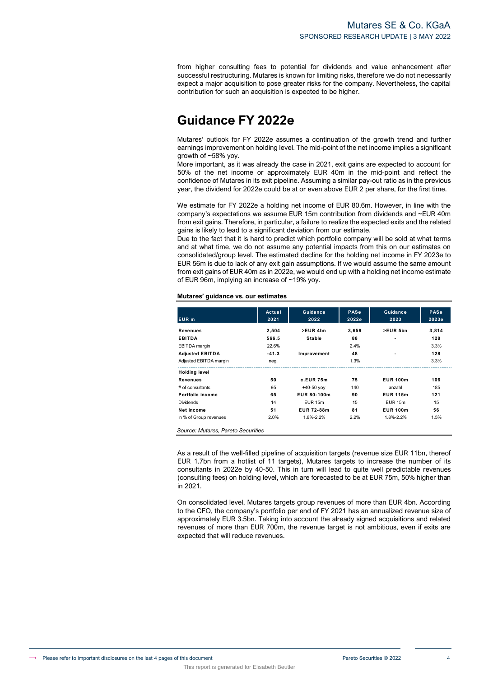from higher consulting fees to potential for dividends and value enhancement after successful restructuring. Mutares is known for limiting risks, therefore we do not necessarily expect a major acquisition to pose greater risks for the company. Nevertheless, the capital contribution for such an acquisition is expected to be higher.

# **Guidance FY 2022e**

Mutares' outlook for FY 2022e assumes a continuation of the growth trend and further earnings improvement on holding level. The mid-point of the net income implies a significant growth of ~58% yoy.

More important, as it was already the case in 2021, exit gains are expected to account for 50% of the net income or approximately EUR 40m in the mid-point and reflect the confidence of Mutares in its exit pipeline. Assuming a similar pay-out ratio as in the previous year, the dividend for 2022e could be at or even above EUR 2 per share, for the first time.

We estimate for FY 2022e a holding net income of EUR 80.6m. However, in line with the company's expectations we assume EUR 15m contribution from dividends and ~EUR 40m from exit gains. Therefore, in particular, a failure to realize the expected exits and the related gains is likely to lead to a significant deviation from our estimate.

Due to the fact that it is hard to predict which portfolio company will be sold at what terms and at what time, we do not assume any potential impacts from this on our estimates on consolidated/group level. The estimated decline for the holding net income in FY 2023e to EUR 56m is due to lack of any exit gain assumptions. If we would assume the same amount from exit gains of EUR 40m as in 2022e, we would end up with a holding net income estimate of EUR 96m, implying an increase of ~19% yoy.

# **Mutares' guidance vs. our estimates**

This report is generated for Elisabeth Beutler

|                                    | Actual  | <b>Guidance</b>    | <b>PASe</b> | Guidance           | <b>PASe</b> |
|------------------------------------|---------|--------------------|-------------|--------------------|-------------|
| EUR <sub>m</sub>                   | 2021    | 2022               | 2022e       | 2023               | 2023e       |
| Revenues                           | 2,504   | >EUR 4bn           | 3,659       | >EUR 5bn           | 3,814       |
| <b>EBITDA</b>                      | 566.5   | <b>Stable</b>      | 88          |                    | 128         |
| <b>EBITDA</b> margin               | 22.6%   |                    | 2.4%        |                    | 3.3%        |
| <b>Adjusted EBITDA</b>             | $-41.3$ | Improvement        | 48          |                    | 128         |
| Adjusted EBITDA margin             | neg.    |                    | 1.3%        |                    | 3.3%        |
| <b>Holding level</b>               |         |                    |             |                    |             |
| Revenues                           | 50      | c.EUR 75m          | 75          | <b>EUR 100m</b>    | 106         |
| # of consultants                   | 95      | $+40-50$ yoy       | 140         | anzahl             | 185         |
| Portfolio income                   | 65      | EUR 80-100m        | 90          | <b>EUR 115m</b>    | 121         |
| <b>Dividends</b>                   | 14      | EUR <sub>15m</sub> | 15          | EUR <sub>15m</sub> | 15          |
| Net income                         | 51      | EUR 72-88m         | 81          | <b>EUR 100m</b>    | 56          |
| in % of Group revenues             | 2.0%    | 1.8%-2.2%          | 2.2%        | 1.8%-2.2%          | 1.5%        |
| Source: Mutares, Pareto Securities |         |                    |             |                    |             |

As a result of the well-filled pipeline of acquisition targets (revenue size EUR 11bn, thereof EUR 1.7bn from a hotlist of 11 targets), Mutares targets to increase the number of its consultants in 2022e by 40-50. This in turn will lead to quite well predictable revenues (consulting fees) on holding level, which are forecasted to be at EUR 75m, 50% higher than in 2021.

On consolidated level, Mutares targets group revenues of more than EUR 4bn. According to the CFO, the company's portfolio per end of FY 2021 has an annualized revenue size of approximately EUR 3.5bn. Taking into account the already signed acquisitions and related revenues of more than EUR 700m, the revenue target is not ambitious, even if exits are expected that will reduce revenues.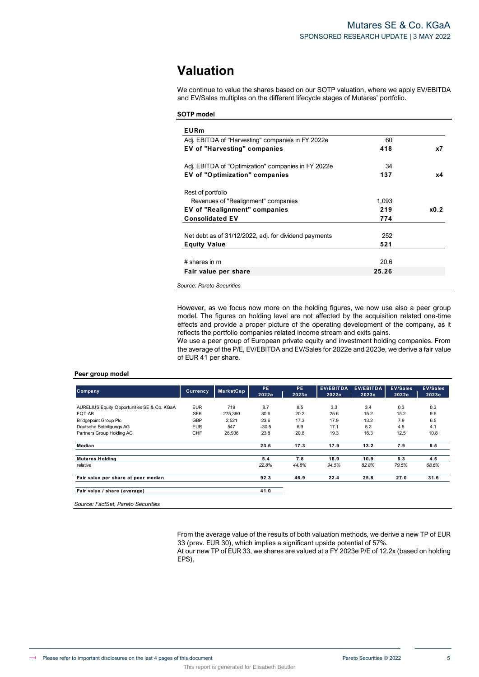# **Valuation**

We continue to value the shares based on our SOTP valuation, where we apply EV/EBITDA and EV/Sales multiples on the different lifecycle stages of Mutares' portfolio.

# **SOTP model**

| Adj. EBITDA of "Harvesting" companies in FY 2022e     | 60    |      |
|-------------------------------------------------------|-------|------|
| <b>EV of "Harvesting" companies</b>                   | 418   | x7   |
| Adj. EBITDA of "Optimization" companies in FY 2022e   | 34    |      |
| <b>EV of "Optimization" companies</b>                 | 137   | х4   |
| Rest of portfolio                                     |       |      |
| Revenues of "Realignment" companies                   | 1,093 |      |
| EV of "Realignment" companies                         | 219   | x0.2 |
| <b>Consolidated EV</b>                                | 774   |      |
| Net debt as of 31/12/2022, adj. for dividend payments | 252   |      |
| <b>Equity Value</b>                                   | 521   |      |
| $#$ shares in m                                       | 20.6  |      |
| Fair value per share                                  | 25.26 |      |

However, as we focus now more on the holding figures, we now use also a peer group model. The figures on holding level are not affected by the acquisition related one-time effects and provide a proper picture of the operating development of the company, as it reflects the portfolio companies related income stream and exits gains.

We use a peer group of European private equity and investment holding companies. From the average of the P/E, EV/EBITDA and EV/Sales for 2022e and 2023e, we derive a fair value of EUR 41 per share.

## **Peer group model**

| <b>Company</b>                              | Currency   | MarketCap | PE.<br>2022e | <b>PE</b><br>2023e | <b>EV/EBITDA</b><br>2022e | <b>EV/EBITDA</b><br>2023e | <b>EV/Sales</b><br>2022e | <b>EV/Sales</b><br>2023e |
|---------------------------------------------|------------|-----------|--------------|--------------------|---------------------------|---------------------------|--------------------------|--------------------------|
| AURELIUS Equity Opportunities SE & Co. KGaA | <b>EUR</b> | 719       | 8.7          | 8.5                | 3.3                       | 3.4                       | 0.3                      | 0.3                      |
| EQT AB                                      | <b>SEK</b> | 275,390   | 30.6         | 20.2               | 25.6                      | 15.2                      | 15.2                     | 9.6                      |
| <b>Bridgepoint Group Plc</b>                | GBP        | 2,521     | 23.6         | 17.3               | 17.9                      | 13.2                      | 7.9                      | 6.5                      |
| Deutsche Beteiligungs AG                    | <b>EUR</b> | 547       | $-30.5$      | 6.9                | 17.1                      | 5.2                       | 4.5                      | 4.1                      |
| Partners Group Holding AG                   | CHF        | 26,936    | 23.8         | 20.8               | 19.3                      | 16.3                      | 12.5                     | 10.8                     |
| Median                                      |            |           | 23.6         | 17.3               | 17.9                      | 13.2                      | 7.9                      | 6.5                      |
| <b>Mutares Holding</b>                      |            |           | 5.4          | 7.8                | 16.9                      | 10.9                      | 6.3                      | 4.5                      |
| relative                                    |            |           | 22.8%        | 44.8%              | 94.5%                     | 82.8%                     | 79.5%                    | 68.6%                    |
| Fair value per share at peer median         |            |           | 92.3         | 46.9               | 22.4                      | 25.8                      | 27.0                     | 31.6                     |
| Fair value / share (average)                |            |           | 41.0         |                    |                           |                           |                          |                          |

This report is generated for Elisabeth Beutler

From the average value of the results of both valuation methods, we derive a new TP of EUR 33 (prev. EUR 30), which implies a significant upside potential of 57%. At our new TP of EUR 33, we shares are valued at a FY 2023e P/E of 12.2x (based on holding EPS).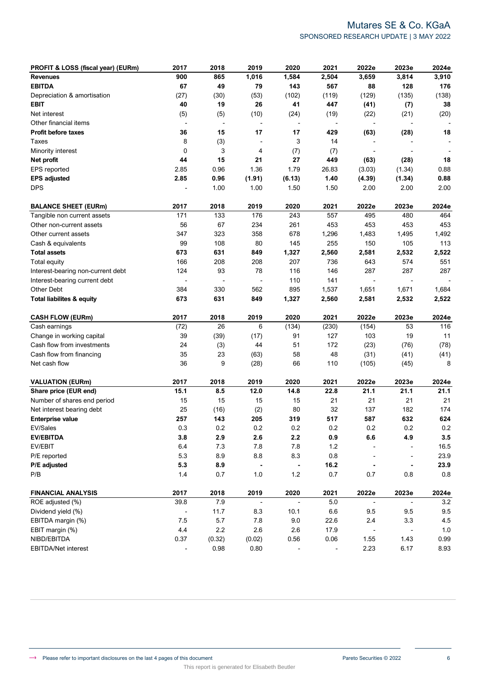# Mutares SE & Co. KGaA SPONSORED RESEARCH UPDATE | 3 MAY 2022

| PROFIT & LOSS (fiscal year) (EURm)   | 2017                     | 2018                     | 2019                     | 2020                     | 2021    | 2022e                    | 2023e                    | 2024e   |
|--------------------------------------|--------------------------|--------------------------|--------------------------|--------------------------|---------|--------------------------|--------------------------|---------|
| <b>Revenues</b>                      | 900                      | 865                      | 1,016                    | 1,584                    | 2,504   | 3,659                    | 3,814                    | 3,910   |
| <b>EBITDA</b>                        | 67                       | 49                       | 79                       | 143                      | 567     | 88                       | 128                      | 176     |
| Depreciation & amortisation          | (27)                     | (30)                     | (53)                     | (102)                    | (119)   | (129)                    | (135)                    | (138)   |
| <b>EBIT</b>                          | 40                       | 19                       | 26                       | 41                       | 447     | (41)                     | (7)                      | 38      |
| Net interest                         | (5)                      | (5)                      | (10)                     | (24)                     | (19)    | (22)                     | (21)                     | (20)    |
| Other financial items                | $\overline{a}$           | $\overline{\phantom{a}}$ |                          | $\overline{a}$           |         |                          |                          |         |
| <b>Profit before taxes</b>           | 36                       | 15                       | 17                       | 17                       | 429     | (63)                     | (28)                     | 18      |
| <b>Taxes</b>                         | 8                        | (3)                      |                          | 3                        | 14      |                          |                          |         |
| Minority interest                    | 0                        | 3                        | 4                        | (7)                      | (7)     |                          |                          |         |
| Net profit                           | 44                       | 15                       | 21                       | 27                       | 449     | (63)                     | (28)                     | 18      |
| EPS reported                         | 2.85                     | 0.96                     | 1.36                     | 1.79                     | 26.83   | (3.03)                   | (1.34)                   | 0.88    |
| <b>EPS adjusted</b>                  | 2.85                     | 0.96                     | (1.91)                   | (6.13)                   | 1.40    | (4.39)                   | (1.34)                   | 0.88    |
| <b>DPS</b>                           |                          | 1.00                     | 1.00                     | 1.50                     | 1.50    | 2.00                     | 2.00                     | 2.00    |
| <b>BALANCE SHEET (EURm)</b>          | 2017                     | 2018                     | 2019                     | 2020                     | 2021    | 2022e                    | 2023e                    | 2024e   |
| Tangible non current assets          | 171                      | 133                      | 176                      | 243                      | 557     | 495                      | 480                      | 464     |
| Other non-current assets             | 56                       | 67                       | 234                      | 261                      | 453     | 453                      | 453                      | 453     |
| Other current assets                 | 347                      | 323                      | 358                      | 678                      | 1,296   | 1,483                    | 1,495                    | 1,492   |
| Cash & equivalents                   | 99                       | 108                      | 80                       | 145                      | 255     | 150                      | 105                      | 113     |
| <b>Total assets</b>                  | 673                      | 631                      | 849                      | 1,327                    | 2,560   | 2,581                    | 2,532                    | 2,522   |
| <b>Total equity</b>                  | 166                      | 208                      | 208                      | 207                      | 736     | 643                      | 574                      | 551     |
| Interest-bearing non-current debt    | 124                      | 93                       | 78                       | 116                      | 146     | 287                      | 287                      | 287     |
| Interest-bearing current debt        |                          |                          |                          | 110                      | 141     |                          |                          |         |
| Other Debt                           | 384                      | 330                      | 562                      | 895                      | 1,537   | 1,651                    | 1,671                    | 1,684   |
| <b>Total liabilites &amp; equity</b> | 673                      | 631                      | 849                      | 1,327                    | 2,560   | 2,581                    | 2,532                    | 2,522   |
| <b>CASH FLOW (EURm)</b>              | 2017                     | 2018                     | 2019                     | 2020                     | 2021    | 2022e                    | 2023e                    | 2024e   |
| Cash earnings                        | (72)                     | 26                       | 6                        | (134)                    | (230)   | (154)                    | 53                       | 116     |
| Change in working capital            | 39                       | (39)                     | (17)                     | 91                       | 127     | 103                      | 19                       | 11      |
| Cash flow from investments           | 24                       | (3)                      | 44                       | 51                       | 172     | (23)                     | (76)                     | (78)    |
| Cash flow from financing             | 35                       | 23                       | (63)                     | 58                       | 48      | (31)                     | (41)                     | (41)    |
| Net cash flow                        | 36                       | 9                        | (28)                     | 66                       | 110     | (105)                    | (45)                     | 8       |
| <b>VALUATION (EURm)</b>              | 2017                     | 2018                     | 2019                     | 2020                     | 2021    | 2022e                    | 2023e                    | 2024e   |
| Share price (EUR end)                | 15.1                     | 8.5                      | 12.0                     | 14.8                     | 22.8    | 21.1                     | 21.1                     | 21.1    |
| Number of shares end period          | 15                       | 15                       | 15                       | 15                       | 21      | 21                       | 21                       | 21      |
| Net interest bearing debt            | 25                       | (16)                     | (2)                      | 80                       | 32      | 137                      | 182                      | 174     |
| <b>Enterprise value</b>              | 257                      | 143                      | 205                      | 319                      | 517     | 587                      | 632                      | 624     |
| EV/Sales                             | 0.3                      | 0.2                      | 0.2                      | 0.2                      | 0.2     | 0.2                      | 0.2                      | 0.2     |
| <b>EV/EBITDA</b>                     | 3.8                      | 2.9                      | 2.6                      | $2.2\,$                  | 0.9     | 6.6                      | 4.9                      | $3.5\,$ |
| EV/EBIT                              | 6.4                      | $7.3$                    | $7.8$                    | 7.8                      | $1.2$   |                          |                          | 16.5    |
| P/E reported                         | 5.3                      | 8.9                      | 8.8                      | 8.3                      | 0.8     |                          | -                        | 23.9    |
| P/E adjusted                         | 5.3                      | 8.9                      |                          | $\blacksquare$           | 16.2    |                          | $\blacksquare$           | 23.9    |
| P/B                                  | 1.4                      | 0.7                      | $1.0$                    | 1.2                      | 0.7     | 0.7                      | 0.8                      | 0.8     |
| <b>FINANCIAL ANALYSIS</b>            | 2017                     | 2018                     | 2019                     | 2020                     | 2021    | 2022e                    | 2023e                    | 2024e   |
| ROE adjusted (%)                     | 39.8                     | 7.9                      | $\overline{\phantom{a}}$ | $\overline{\phantom{a}}$ | $5.0\,$ | $\overline{\phantom{a}}$ | $\overline{\phantom{a}}$ | $3.2\,$ |
| Dividend yield (%)                   | $\overline{\phantom{a}}$ | 11.7                     | 8.3                      | 10.1                     | $6.6\,$ | 9.5                      | 9.5                      | 9.5     |
| EBITDA margin (%)                    | 7.5                      | $5.7\,$                  | $7.8$                    | 9.0                      | 22.6    | 2.4                      | 3.3                      | 4.5     |
| EBIT margin (%)                      | 4.4                      | $2.2\,$                  | 2.6                      | 2.6                      | 17.9    | $\overline{a}$           |                          | 1.0     |
| NIBD/EBITDA                          | 0.37                     | (0.32)                   | (0.02)                   | 0.56                     | 0.06    | 1.55                     | 1.43                     | 0.99    |
| <b>EBITDA/Net interest</b>           |                          | 0.98                     | 0.80                     |                          |         | 2.23                     | 6.17                     | 8.93    |

This report is generated for Elisabeth Beutler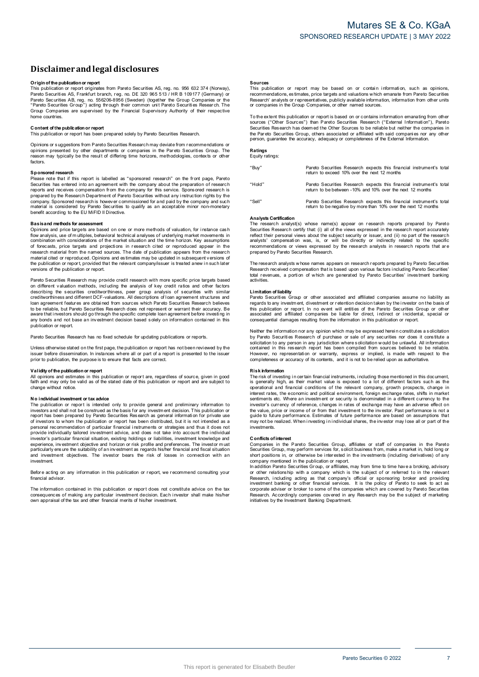# **Disclaimerandlegal disclosures Disclaimer and legal disclosures<br>Originof the publication or report<br>This publication or report originates from Pareto Securities AS, reg. no. 956 632 374 (Norway),**

**DISCIAIMET AND IEgal dISCIOSUTES**<br>This publication or report<br>This publication or report originates from Pareto Securities AS, reg. no. 956 632 374 (Norway)<br>Pareto Securities AS, Frankfurt branch, reg. no. DE 320 965 513 / Pareto Securities AB, reg. no. 556206-8956 (Sweden) (together the Group Companies or the **Origin of the publication or report**<br>This publication or report originates from Pareto Securities AS, reg. no. 956 632 374 (Norway) or<br>Pareto Securities AS, Frankfurt branch, reg. no. DE 320 965 513 / HR B 109177 (Germany home countries. **C** one contents of our *c* in example of the Croup<sup>2</sup>) acting for<br>Group Companies are supervised<br>home countries.<br>**C** ontent of the publication or report<br>This publication or report has been The coup Companies are supervised by the Financial Supervisory Authority of their respective<br>home countries.<br>**Content of the publication or report**<br>This publication or report<br>This publication or report

Opinions or s uggestions from Pareto Securities Research may deviate from r ecommendations or Content of the publication or report<br>This publication or report has been prepared solely by Pareto Securities Research.<br>Opinions or suggestions from Pareto Securities Research may deviate from recommendations or<br>periors pr factors. **Sphints of the departments or companies in the Pareto Securities Group. The paint of the result of differing time horizons, methodologies, contexts or other factors.<br><b>Sponsored research**<br>Please note that if this report is

Factors.<br> **Sponsored research**<br>
Please note that if this report is labelled as "sponsored research" on the front page, Pareto<br>
Securities has entered into an agreement with the company about the preparation of research<br>
re

### **Basisand methods for assessment**

contential is considered by Pareto Securities to quality as an acceptable minor non-monetary<br>benefit according to the EU MiFID II Directive.<br>**Basis and methods for assessment**<br>Opinions and price targets are based on one or research material from the named sources. The date of publication appears from the research material cited or reproduced. Opinions and estimates may be updated in subsequent versions of flow analysis, use of multiples, behavioral technical analyses of underlying market movements in combination with considerations of the market situation and the time horizon. Key assumptions of forecasts, orice targets and the complimation with considerations of the market situation and the time horizon. Key assumptions of forecasts, price targets and projections in research cited or reproduced appear in the research material from the named

Pareto Securities Research may provide credit research with more specific price targets based on different valuation methods, including the analysis of key credit ratios and other factors on different valuation or report, provided that the relevant company/issuer is treated anew in such later<br>versions of the publication or report.<br>Pareto Securities Research may provide credit research with more specific pri Persions of the publication or report.<br>Pareto Securities Research may provide credit research with more specific price targets based<br>on different valuation methods, including the analysis of key credit ratios and other fac loan agreement features are obtained from sources which Pareto Securities Research believes<br>to be reliable, but Pareto Securities Research does not represent or warrant their accuracy. Be<br>aware that investors should go thr publication or report.

Pareto Securities Research has no fixed schedule for updating publications or reports.

example of the base and interest and the second translation of report.<br>Pareto Securities Research has no fixed schedule for updating publications or reports.<br>Unless otherwise stated on the first page, the publication or re Unless otherwise stated on the first page, the publication or report has not been reviewed by the<br>
pusies the fore dissemination. In instances where all or part of a report is presented to the issuer<br> **propertion** the publ

faith and may only be valid as of the stated date of this publication, the publication or report<br>Validity of the publication or report<br>All opinions and estimates in this publication or report are, regardless of source, giv change without notice. **N and publication or <b>in in** the publication or report are, regardless of source, given in good faith and may only be valid as of the stated date of this publication or report and are subject to change without notice.<br>T

No individual investment of tax advice<br>The publication or report is intended only to provide general and preliminary information to<br>investors and shall not be construed as the basis for any investment decision. This public measured by Pareto Securities Research as general information for private use<br>of investors to whom the publication or report has been prepared by Pareto Securities Research as general information for private use<br>of investo provide individually tailored investment advice, and does not take into account the individual<br>investor's particular financial situation, existing holdings or liabilities, investment knowledge and<br>experience, investment ob investment. experioularly ensure the suitability of an investment as regards his/her financial and fiscal situation<br>and investment objectives. The investor bears the risk of losses in connection with an<br>investment.<br>Before acting on an

financial advisor

Investment<br>Before acting on any information in this publication or report, we recommend consulting your<br>financial advisor.<br>Consequences of making any particular investment decision. Each investor shall make his/her<br>consequ

### **Sources**

**Sources**<br>This publication or report may be based on or contain information, such as opinions,<br>recommendations, estimates, price targets and valuations which emanate from Pareto Securities<br>Research' analysts or representat **Sources**<br>This publication or report may be based on or contain<br>recommendations, estimates, price targets and valuations which<br>Research' analysts or representatives, publicly available informa<br>or companies in the Group Com The extent this publication or report is based on or contains which emanate from Pareto Securities<br>
Research' analysts or representatives, publicly available information, information from other units<br>
or companies in the G

Securities Res earch the Group Companies, or other named sources.<br>To the extent this publication or report is based on or contains information emanating from other<br>Sources ("Other Sources") than Pareto Securities Research person, guarantee the accuracy, adequacy or completeness of the External Information.

# **Ratings** Equity ratings:

"Buy" Pareto Securities Research expects this financial instrument's total return to exceed 10% over the next 12 months "Hold" Pareto Securities Research expects this financial instrument's total rate to be between -10% and 10% over the next 12 months "Sell" Pareto Securities Research expects this financial instrument's total return to be negative by more than 10% over the next 12 months

### **Analysts Certification**

Anarysus communion<br>The research analyst(s) whose name(s) appear on research reports prepared by Pareto Securities Research certify that: (i) all of the views expressed in the research report accurately reflect their personal views about the subject security or issuer, and (ii) no part of the research analysts' compensation reflect their personal views about the subject security or issuer, and (ii) no part of the research Analysts Certification<br>The research analyst(s) whose name(s) appear on research reports prepared by Pareto<br>Securities Research certify that (i) all of the views expressed in the research report accurately<br>reflect their per

contract neuron analysts' compensation was, is, or will be directly or indirectly related to the specific<br>recommendations or views expressed by the research analysts in research reports that are<br>prepared by Pareto Securiti activities.

### **Limitation of liability**

Pareto Securities.<br> **Example 1998 Croup or other associated and affiliated companies assume no liability as<br>
Pareto Securities Group or other associated and affiliated companies assume no liability as<br>
regards to any inves** Learnace.<br> **Example 12**<br> **Pareto Securities Group or other associated and affiliated companies assume no liability a<br>
Pareto Securities Group or other associated and affiliated companies be line investor on the basis of<br>
t** Neither the information or report. In no event will entities of the Pareto Securities Group or other<br>associated and affiliated companies be liable for direct, indirect or incidental, special or<br>consequential damages result

associated and affiliated companies be liable for direct, indirect or incidental, special or<br>associated and affiliated companies be liable for direct, indirect or incidental, special or<br>consequential damages resulting from Sometimal in this research report has been compiled from sources believed to be reliable.<br>However, no representation or warranty, express or implied, is made with respect to the completeness or accuracy of its contents, an

### **Risk information**

completeness or accuracy of its contents, and it is not to be relied upon as authoritative.<br> **Risk information**<br> **Risk information**<br> **Risk information**<br> **Risk information**<br> **Risk information**<br> **Risk information**<br> **Risk inf** interest rates, the economic and political environment, foreign exchange rates, shifts in market<br>'sentiments etc. Where an investor's currency to reference, changes in rates of exchange may have an adverse effect on<br>invest the value of or income or income or income or the relevant company, growth prospects, change in interest rates, the economic and political environment, foreign exchange rates, shifts in market sentiments etc. Where an inve marious, is common our pulsions are investment of security is denominated in a different currency to the investor's currency of reference, changes in rates of exchange may have an adverse effect on the value, price or inco investments. **C** on the value, price of the performal problem of the realized<br>investments.<br>**C** onflicts of interest<br>Companies in the

grave of the realized. When investing in individual shares, the investor may lose all or part of the<br>investments.<br>Conflicts of interest<br>Conflicts of interest<br>Conflicts of interest<br>Conflicts of interest<br>Conflicts of interes

Companies in the Pareto Securities Group, affiliates or staff of companies in the Pareto Securities Group, may perform services for, solicit business from, make a market in, hold long or short positions in, or otherwise be or other relationship with a company which is the subject of or referred to in the relevant Research, including acting as that company's official or sponsoring broker and providing investment banking or other financial ser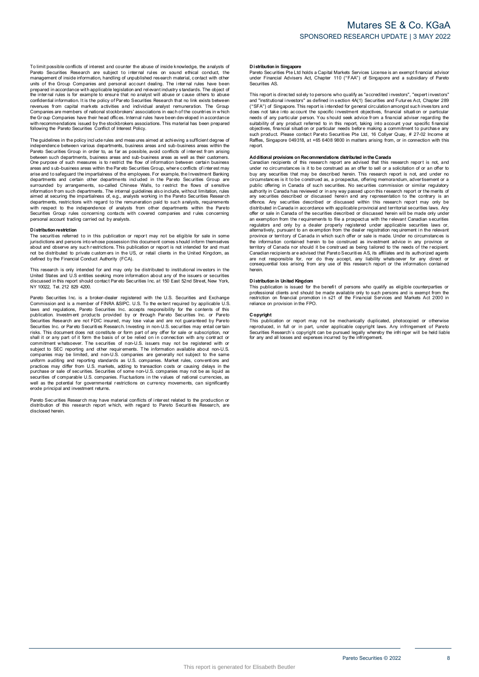To limit possible conflicts of interest and counter the abuse of inside knowledge, the analysts of<br>Pareto Securities Research are subject to internal rules on sound ethical conduct, the<br>management of inside information, ha To limit possible conflicts of interest and counter the abuse of inside knowledge, the analysts of Pareto Securities Research are subject to internal rules on sound ethical conduct, the management of inside information, ha revenues from capital markets activities and individual analyst remuneration. The Group and or the cross conditional and performation and performation and relevant industry standards. The object of<br>the internal rules is for example to ensure that no analyst will abuse or cause others to abuse<br>confidential inf following the Pareto Securities Conflict of Interest Policy. The Group Companies have their head offices. Internal rules have been developed in accordance<br>with recommendations issued by the stockbrokers associations. This material has been prepared<br>following the Pareto Securities Co

independence between various departments, business areas and sub-business areas within the<br>Pareto Securities Group in order to, as far as possible, avoid conflicts of interest from arising Following the Pareto Securities Conflict of Interest Policy.<br>The guidelines in the policy include rules and measures aimed at achieving a sufficient degree of<br>independence between various departments, business areas and su between such departments, business areas and sub-business areas as well as their customers. The guidelines in the policy include rules and measures aimed at achieving a sufficient degree of<br>independence between various departments, business areas and sub-business areas within the<br>Pareto Securities Group in order Done purpose of such measures is to restrict the flow of information between certain business<br>areas and sub-business areas within the Pareto Securities Group, where conflicts of inter est may<br>arise and to safegurard the im departments and certain other departments included in the Pareto Securities Group are<br>surrounded by arrangements, so-called Chinese Walls, to restrict the flows of sensitive<br>information from such departments. The internal Securities Group rules Group rules Concerning in the Concerning contacts without limitation, rules aimed at securing the impartialness of, e.g., analysts working in the Pareto Securities Research departments, restrictions **D** is tributed to the independence of analysts from other departments within the Pareto<br>
Securities Group rules concerning contacts with covered companies and rules concerning<br>
Distribution restriction<br>
The securities ref

Distribution restriction<br>The securities referred to in this publication or report may not be eligible for sale in some<br>jurisdictions and persons into whose possession this document comes should inform themselves **Distribution restriction**<br>The securities referred to in this publication or report may not be eligible for sale in some<br>ilurisdictions and persons into whose possession this document comes should inform themselves<br>about a This research is only intended for and must be distributed to private customers in the US, or retail clients in the United Kingdom, as defined by the Financial Conduct Authority (FCA).<br>This research is only intended for an

Note that the britancial Conduct Authority (FCA).<br>This research is only intended for and may only be distributed to institutional investors in the<br>United States and U.S entities seking more information about any of the iss Pareto Securities Inc. is a broker-dealer registered with the U.S. Securities and U.S entities seking more information about any of the issuers or securities discussed in this report should contact Pareto Securities Inc. a

of also used in this report should contact Pareto Securities Inc. at 150 East 52nd Street, New York, NY 10022, Tel. 212 829 4200.<br>NY 10022, Tel. 212 829 4200.<br>Commission and is a member of FINRA &SIPC. U.S. To the extent r Pareto Securities Inc. a la abroker-dealer registered with the U.S. Securities and Exchange<br>Commission and is a member of FINRA &SIPC. U.S. To the extent required by applicable U.S<br>Idwas and regulations, Pareto Securities Securities Research are not FDIC insured, may lose value and are not guaranteed by Pareto<br>Securities Research are not FDIC insured, may lose value and are not guaranteed by Pareto<br>Securities Inc. or Pareto Securities Resea prominent whatsoever. The securities of non-U.S. issuers may not be registered with or subject to SEC reporting and other requirements. The information available about non-U.S. companies may be limited, and non-U.S. compan uniform auditing and reporting standards as U.S. companies. Market rules, conventions and practices may differ from U.S. markets, adding to transaction costs or causing delays in the purchase or sale of securities. Securit well as the potential for governmental restrictions on currency movements, can significantly erode principal and investment returns. pareto Securities of comparable U.S. comparises. Fluctuations in the values of rational currencies, as<br>well as the potential for governmental restrictions on currency movements, can significantly<br>erode principal and invest

disclosed herein.

### **D istribution in Singapore**

Dis**tribution in Singapore**<br>Pareto Securities Pte Ltd holds a Capital Markets Services License is an exempt financial advisor<br>under Financial Advisers Act, Chapter 110 ("FAA") of Singapore and a subsidiary of Pareto under Financial Advisers Act, Chapter 110 ("FAA") of Singapore and a subsidiary of Pareto Securities AS. The Pareto Securities Pte Ltd holds a Capital Markets Services License is an exempt financial advisor<br>under Financial Advisers Act, Chapter 110 ("FAA") of Singapore and a subsidiary of Pareto<br>Securities AS.<br>This report is

ration contains and a subsidiary of Practicus and a subsidiary of Practicus under Financial Advisers Act, Chapter 110 ("FAA") of Singapore and a subsidiary of Pareto<br>Securities AS.<br>This report is directed solely to persons and "institutional investors", as defined in section 4A(1) Securities and Futures Act, Chapter 289<br>("SFA") of Singapore. This report is intended for general circulation amongst such investors and<br>("SFA") of Singapore. Thi Raffles, Singapore 049318, at +65 6408 9800 in matters arising from, or in connection with this<br>Renort.

such product. Please contact Pareto Securities Pte Ltd, 16 Collyer Quay, # 27-02 Income at Raffles, Singapore 049318, at +65 6408 9800 in matters arising from, or in connection with this report.<br> **Additional provisions on** under no circumstances is it to be construed as an offer to sell or a solicitation of or an offer to buy any securities that may be described herein. This research report is not, and under no circumstances is it to be cons under no circumstances is it to be construed as an offer to sell or a solicitation of or an offer to<br>buy any securities that may be described herein. This research report is not, and under no<br>circumstances is it to be cons offence. Any securities described or discussed within this research report may only be distributed in Canada in accordance with applicable provincial and territorial securities laws. Any offer or sale in Canada of the secu offence. Any securities described or discussed within this research report may only be distributed in Canada in accordance with applicable provincial and territorial securities laws. Any offer or sale in Canada of the secu province or territory of Canada in which such offer or sale is made. Under no circumstances is<br>the information contained herein to be construed as being tailored to the needs of the recipient.<br>Carritory of Canada nor shoul are province or territory of Canada in which such offer or sale is made. Under no circumstances is the information contained herein to be construed as being tailored to the needs of the recipient. Canadian recipients are a herein. D is tribution in United Kingdom<br>
D is tribution in United Kingdom<br>
Distribution in United Kingdom<br>
Distribution in United Kingdom<br>
This publication is issued for the benefit of persons who qualify as eligible counterparti

professional clients and should be made available only to such persons and is exempt from the metriction on financial promotion in s21 of the Financial Services and Markets Act 2000 in reliance on provision in the FPO. This publication is issued for the behind to push and is exampled compared professional clients and should be made available only to such persons and is exempt from the restriction on financial promotion in s21 of the Fina

reliance on provision in the FPO.<br> **Copyright**<br>
This publication or report may not be mechanically duplicated, photocopied or otherwise<br>
reproduced, in full or in part, under applicable copyright laws. Any infringement of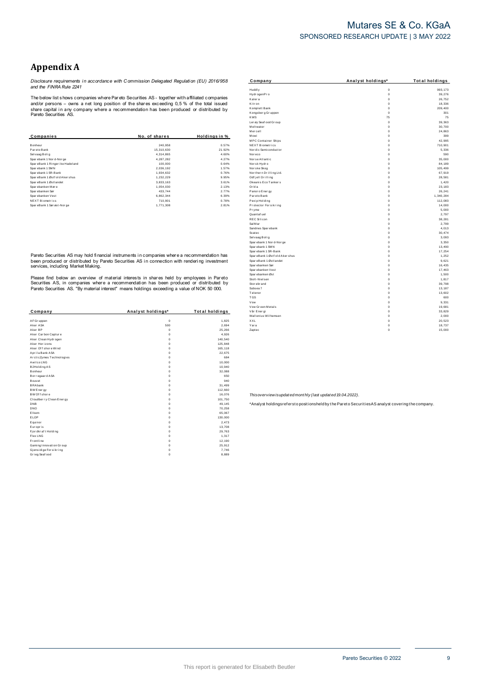# Mutares SE & Co. KGaA SPONSORED RESEARCH UPDATE | 3 MAY 2022

# **Appendix A**

Disclosure requirements in accordance with Commission Delegated Regulation (EU) 2016/958<br>and the FINRA Rule 2241

The below list shows companies where Pareto Securities AS - together with affiliated companies The better that and do persons - comparises write Prat ato Securities AS - together with annihilated comparies<br>share capital in any company where a recommendation has been produced or distributed by<br>Pareto Securities AS.

| Companies                        | No. of shares | Holdings in % |
|----------------------------------|---------------|---------------|
| Bonheur                          | 240.958       | 0.57%         |
| Par eto Bank                     | 15.310.630    | 21.92%        |
| Selvaag Bolig                    | 4.314.865     | 4.60%         |
| Sparebank 1 Nor d-Nor ge         | 4.287.282     | 4.27%         |
| SpareBank 1 Ringer ike Hadel and | 100.000       | 0.64%         |
| Sparebank 1 SMN                  | 2.036.192     | 1.57%         |
| Sparebank 1 SR-Bank              | 1.934.632     | 0.76%         |
| SpareBank 1 Østf old Akershus    | 1.232.229     | 9.95%         |
| SpareBank 1 Østlandet            | 3,833,163     | 3.61%         |
| Sparebanken Møre                 | 1.054.030     | 2.13%         |
| Spar ebanken Sør                 | 433.744       | 2.77%         |
| Sparebanken Vest                 | 6.862.344     | 6.39%         |
| <b>NEXT Biometrics</b>           | 710.901       | 0.78%         |
| SpareBank 1 Sør øst-Nor ge       | 1.771.308     | 2.81%         |

Pareto Securities AS may hold financial instruments in companies where a recommendation has been produced or distributed by Pareto Securities AS in connection with rendering investment<br>services, including Market Making.

Please find below an overview of material interests in shares held by employees in Pareto<br>Securities AS, in companies where a recommendation has been produced or distributed by<br>Pareto Securities AS. "By material interest"

| Company                  | Analyst holdings* | <b>Total holdings</b> |
|--------------------------|-------------------|-----------------------|
|                          |                   |                       |
| AF Gr uppen              | $\mathbf 0$       | 1,825                 |
| Aker ASA                 | 500               | 2.694                 |
| Aker BP                  | $\mathbf 0$       | 25.266                |
| Aker Carbon Capture      | $\Omega$          | 4.926                 |
| Aker Clean Hydrogen      | 0                 | 140.540               |
| Aker Horizons            | 0                 | 125,848               |
| Aker Offshore Wind       | $\Omega$          | 165.118               |
| Aprila Bank ASA          | 0                 | 22.675                |
| ArcticZymes Technologies | 0                 | 684                   |
| Awilco LNG               | $\Omega$          | 10.000                |
| B2Holding AS             | 0                 | 10.940                |
| Bonheur                  | 0                 | 32.088                |
| Bor regaar d ASA         | 0                 | 650                   |
| Bouvet                   | 0                 | 940                   |
| <b>BRAbank</b>           | 0                 | 31.499                |
| BW Energy                | 0                 | 112,660               |
| BW Of f shore            | 0                 | 16.076                |
| Cloudber ry Clean Energy | 0                 | 101.750               |
| <b>DNB</b>               | 0                 | 49,145                |
| <b>DNO</b>               | 0                 | 70,258                |
| Elkem                    | 0                 | 65,067                |
| ELOP                     | 0                 | 130,000               |
| Equinor                  | 0                 | 2.473                 |
| Europris                 | $\Omega$          | 13,708                |
| Fj or dkr af t Holding   | 0                 | 29.763                |
| Flex LNG                 | 0                 | 1.317                 |
| Frontline                | 0                 | 12,190                |
| Gaming Innovation Group  | 0                 | 25,912                |
| Gjensidige For sikring   | 0                 | 7.746                 |
| Grieg Seaf ood           | 0                 | 8,889                 |

| Company                        | Analyst holdings* | <b>Total holdings</b> |
|--------------------------------|-------------------|-----------------------|
| Huddly                         | $\mathbf 0$       | 993.173               |
| Hydr ogenPro                   | $\mathbf 0$       | 39.276                |
| Kalera                         | $\mathbf 0$       | 26,752                |
| Kitr on                        | $\mathbf 0$       | 18.336                |
| Komplett Bank                  | $\mathbf 0$       | 209.400               |
| Kongsberg Gruppen              | $\mathbf 0$       | 301                   |
| <b>KWS</b>                     | 75                | 75                    |
| Ler øy Seaf ood Gr oup         | $\mathbf 0$       | 39.363                |
| Meltwater                      | $\mathbf 0$       | 30.700                |
| Mercell                        | $\mathbf 0$       | 24,863                |
| Mowi                           | $\mathbf 0$       | 399                   |
| <b>MPC</b> Container Ships     | $\mathbf 0$       | 42,995                |
| NEXT Biometrics                | $\mathbf 0$       | 710,901               |
| Nor dic Semiconductor          | $\mathbf 0$       | 5,336                 |
| Nor eco                        | $\mathbf 0$       | 590                   |
| Nor se Atlantic                | $\mathbf 0$       | 35.000                |
| Norsk Hydro                    | $\mathbf 0$       | 84.189                |
| Nor ske Skog                   | $\Omega$          | 105.499               |
| Nor ther n Drilling Ltd.       | $\mathbf 0$       | 67,919                |
| Odf jell Drilling              | $\mathbf 0$       | 28.581                |
| Okeanis Eco Tankers            | $\mathbf 0$       | 1,420                 |
| Orkla                          | $\mathbf 0$       | 23.183                |
| Panor o Ener gy                | $\mathbf 0$       | 26.241                |
| Par eto Bank                   | $\mathbf 0$       | 1.340.284             |
| Pexip Holding                  | $\mathbf 0$       | 112.083               |
| Protector Forsikring           | $\mathbf 0$       | 14,000                |
| Pryme                          | $\mathbf 0$       | 5,000                 |
| Quantaf uel                    | $\mathbf 0$       | 2.797                 |
| <b>REC Silicon</b>             | $\mathbf 0$       | 38,281                |
| Sal M ar                       | $\mathbf 0$       | 2.799                 |
| Sandnes Sparebank              | $\mathbf 0$       | 4,013                 |
| Scatec                         | $\mathbf 0$       | 30.474                |
| Selvaag Bolig                  | $\mathbf 0$       | 3,093                 |
| Sparebank 1 Nor d-Nor ge       | $\mathbf 0$       | 3,350                 |
| Spar ebank 1 SMN               | $\mathbf 0$       | 13.490                |
| Spar ebank 1 SR-Bank           | $\mathbf 0$       | 17,254                |
| SpareBank 1 Østf old Aker shus | $\mathbf 0$       | 1,252                 |
| Spar eBank 1 Østl andet        | $\mathbf 0$       | 9,621                 |
| Spar ebanken Sør               | $\mathbf 0$       | 16,435                |
| Spar ebanken Vest              | $\mathbf 0$       | 17.463                |
| Spar ebanken Øst               | $\mathbf 0$       | 1,500                 |
| Stolt-Nielsen                  | $\mathbf 0$       | 1,817                 |
| Stor ebr and                   | $\mathbf 0$       | 39,798                |
| Subsea 7                       | $\mathbf 0$       | 13,187                |
| Telenor                        | $\mathbf 0$       | 13.602                |
| <b>TGS</b>                     | $\mathbf 0$       | 600                   |
| Vow                            | $\mathbf 0$       | 9,331                 |
| Vow Green Metals               | $\mathbf 0$       | 19.681                |
| Vår Ener gi                    | $\mathbf 0$       | 33,829                |
| Wallenius Wilhemsen            | $\mathbf 0$       | 2,000                 |
| XXL                            | $\mathbf 0$       | 20.523                |
| Yara                           | $\mathbf 0$       | 18,737                |
| Zaptec                         | Ó                 | 15.000                |

Thisoverview isupdated monthly (last updated 19.04.2022).

\*Analyst holdingsrefersto positionsheld by the Pareto Securities AS analyst covering the company.